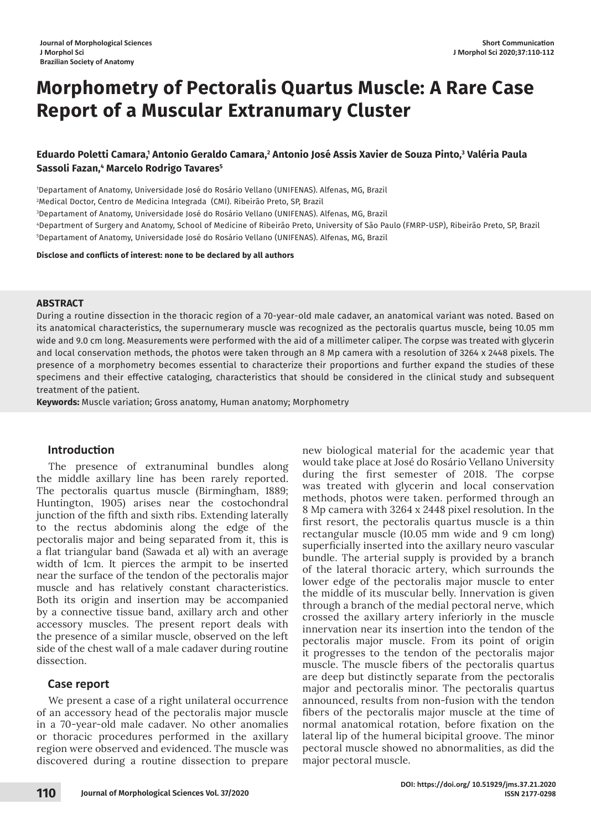# **Morphometry of Pectoralis Quartus Muscle: A Rare Case Report of a Muscular Extranumary Cluster**

## Eduardo Poletti Camara,<sup>1</sup> Antonio Geraldo Camara,<sup>2</sup> Antonio José Assis Xavier de Souza Pinto,<sup>3</sup> Valéria Paula **Sassoli Fazan,4 Marcelo Rodrigo Tavares5**

1 Departament of Anatomy, Universidade José do Rosário Vellano (UNIFENAS). Alfenas, MG, Brazil

2 Medical Doctor, Centro de Medicina Integrada (CMI). Ribeirão Preto, SP, Brazil

3 Departament of Anatomy, Universidade José do Rosário Vellano (UNIFENAS). Alfenas, MG, Brazil

4 Department of Surgery and Anatomy, School of Medicine of Ribeirão Preto, University of São Paulo (FMRP-USP), Ribeirão Preto, SP, Brazil 5 Departament of Anatomy, Universidade José do Rosário Vellano (UNIFENAS). Alfenas, MG, Brazil

**Disclose and conflicts of interest: none to be declared by all authors**

#### **ABSTRACT**

During a routine dissection in the thoracic region of a 70-year-old male cadaver, an anatomical variant was noted. Based on its anatomical characteristics, the supernumerary muscle was recognized as the pectoralis quartus muscle, being 10.05 mm wide and 9.0 cm long. Measurements were performed with the aid of a millimeter caliper. The corpse was treated with glycerin and local conservation methods, the photos were taken through an 8 Mp camera with a resolution of 3264 x 2448 pixels. The presence of a morphometry becomes essential to characterize their proportions and further expand the studies of these specimens and their effective cataloging, characteristics that should be considered in the clinical study and subsequent treatment of the patient.

**Keywords:** Muscle variation; Gross anatomy, Human anatomy; Morphometry

## **Introduction**

The presence of extranuminal bundles along the middle axillary line has been rarely reported. The pectoralis quartus muscle (Birmingham, 1889; Huntington, 1905) arises near the costochondral junction of the fifth and sixth ribs. Extending laterally to the rectus abdominis along the edge of the pectoralis major and being separated from it, this is a flat triangular band (Sawada et al) with an average width of 1cm. It pierces the armpit to be inserted near the surface of the tendon of the pectoralis major muscle and has relatively constant characteristics. Both its origin and insertion may be accompanied by a connective tissue band, axillary arch and other accessory muscles. The present report deals with the presence of a similar muscle, observed on the left side of the chest wall of a male cadaver during routine dissection.

## **Case report**

We present a case of a right unilateral occurrence of an accessory head of the pectoralis major muscle in a 70-year-old male cadaver. No other anomalies or thoracic procedures performed in the axillary region were observed and evidenced. The muscle was discovered during a routine dissection to prepare

new biological material for the academic year that would take place at José do Rosário Vellano University during the first semester of 2018. The corpse was treated with glycerin and local conservation methods, photos were taken. performed through an 8 Mp camera with 3264 x 2448 pixel resolution. In the first resort, the pectoralis quartus muscle is a thin rectangular muscle (10.05 mm wide and 9 cm long) superficially inserted into the axillary neuro vascular bundle. The arterial supply is provided by a branch of the lateral thoracic artery, which surrounds the lower edge of the pectoralis major muscle to enter the middle of its muscular belly. Innervation is given through a branch of the medial pectoral nerve, which crossed the axillary artery inferiorly in the muscle innervation near its insertion into the tendon of the pectoralis major muscle. From its point of origin it progresses to the tendon of the pectoralis major muscle. The muscle fibers of the pectoralis quartus are deep but distinctly separate from the pectoralis major and pectoralis minor. The pectoralis quartus announced, results from non-fusion with the tendon fibers of the pectoralis major muscle at the time of normal anatomical rotation, before fixation on the lateral lip of the humeral bicipital groove. The minor pectoral muscle showed no abnormalities, as did the major pectoral muscle.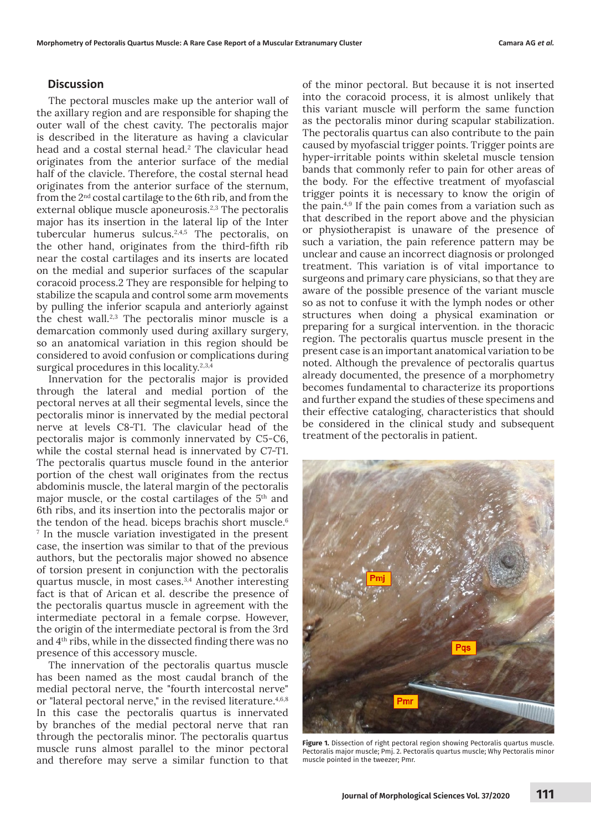#### **Discussion**

The pectoral muscles make up the anterior wall of the axillary region and are responsible for shaping the outer wall of the chest cavity. The pectoralis major is described in the literature as having a clavicular head and a costal sternal head.<sup>2</sup> The clavicular head originates from the anterior surface of the medial half of the clavicle. Therefore, the costal sternal head originates from the anterior surface of the sternum, from the 2nd costal cartilage to the 6th rib, and from the external oblique muscle aponeurosis.<sup>2,3</sup> The pectoralis major has its insertion in the lateral lip of the Inter tubercular humerus sulcus.2,4,5 The pectoralis, on the other hand, originates from the third-fifth rib near the costal cartilages and its inserts are located on the medial and superior surfaces of the scapular coracoid process.2 They are responsible for helping to stabilize the scapula and control some arm movements by pulling the inferior scapula and anteriorly against the chest wall.2,3 The pectoralis minor muscle is a demarcation commonly used during axillary surgery, so an anatomical variation in this region should be considered to avoid confusion or complications during surgical procedures in this locality.<sup>2,3,4</sup>

Innervation for the pectoralis major is provided through the lateral and medial portion of the pectoral nerves at all their segmental levels, since the pectoralis minor is innervated by the medial pectoral nerve at levels C8-T1. The clavicular head of the pectoralis major is commonly innervated by C5-C6, while the costal sternal head is innervated by C7-T1. The pectoralis quartus muscle found in the anterior portion of the chest wall originates from the rectus abdominis muscle, the lateral margin of the pectoralis major muscle, or the costal cartilages of the 5th and 6th ribs, and its insertion into the pectoralis major or the tendon of the head. biceps brachis short muscle.<sup>6</sup> 7 In the muscle variation investigated in the present case, the insertion was similar to that of the previous authors, but the pectoralis major showed no absence of torsion present in conjunction with the pectoralis quartus muscle, in most cases.3,4 Another interesting fact is that of Arican et al. describe the presence of the pectoralis quartus muscle in agreement with the intermediate pectoral in a female corpse. However, the origin of the intermediate pectoral is from the 3rd and 4th ribs, while in the dissected finding there was no presence of this accessory muscle.

The innervation of the pectoralis quartus muscle has been named as the most caudal branch of the medial pectoral nerve, the "fourth intercostal nerve" or "lateral pectoral nerve," in the revised literature.<sup>4,6,8</sup> In this case the pectoralis quartus is innervated by branches of the medial pectoral nerve that ran through the pectoralis minor. The pectoralis quartus muscle runs almost parallel to the minor pectoral and therefore may serve a similar function to that

of the minor pectoral. But because it is not inserted into the coracoid process, it is almost unlikely that this variant muscle will perform the same function as the pectoralis minor during scapular stabilization. The pectoralis quartus can also contribute to the pain caused by myofascial trigger points. Trigger points are hyper-irritable points within skeletal muscle tension bands that commonly refer to pain for other areas of the body. For the effective treatment of myofascial trigger points it is necessary to know the origin of the pain.4,9 If the pain comes from a variation such as that described in the report above and the physician or physiotherapist is unaware of the presence of such a variation, the pain reference pattern may be unclear and cause an incorrect diagnosis or prolonged treatment. This variation is of vital importance to surgeons and primary care physicians, so that they are aware of the possible presence of the variant muscle so as not to confuse it with the lymph nodes or other structures when doing a physical examination or preparing for a surgical intervention. in the thoracic region. The pectoralis quartus muscle present in the present case is an important anatomical variation to be noted. Although the prevalence of pectoralis quartus already documented, the presence of a morphometry becomes fundamental to characterize its proportions and further expand the studies of these specimens and their effective cataloging, characteristics that should be considered in the clinical study and subsequent treatment of the pectoralis in patient.



**Figure 1.** Dissection of right pectoral region showing Pectoralis quartus muscle. Pectoralis major muscle; Pmj. 2. Pectoralis quartus muscle; Why Pectoralis minor muscle pointed in the tweezer; Pmr.